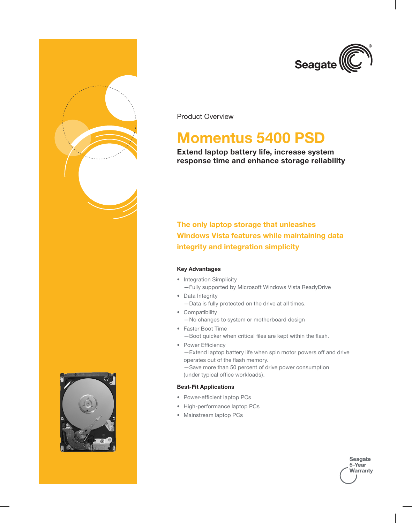

Product Overview

# **Momentus 5400 PSD**

### **Extend laptop battery life, increase system response time and enhance storage reliability**

**The only laptop storage that unleashes Windows Vista features while maintaining data integrity and integration simplicity**

#### **Key Advantages**

- Integration Simplicity —Fully supported by Microsoft Windows Vista ReadyDrive
- Data Integrity —Data is fully protected on the drive at all times.
- Compatibility —No changes to system or motherboard design
- • Faster Boot Time —Boot quicker when critical files are kept within the flash.
- Power Efficiency —Extend laptop battery life when spin motor powers off and drive operates out of the flash memory. —Save more than 50 percent of drive power consumption (under typical office workloads).

#### **Best-Fit Applications**

- Power-efficient laptop PCs
- • High-performance laptop PCs
- • Mainstream laptop PCs